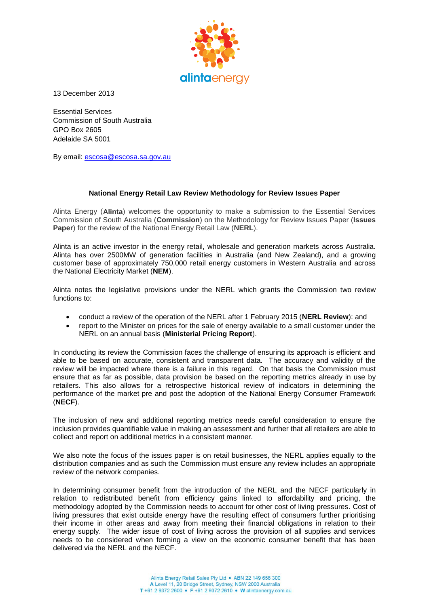

13 December 2013

Essential Services Commission of South Australia GPO Box 2605 Adelaide SA 5001

By email: [escosa@escosa.sa.gov.au](mailto:escosa@escosa.sa.gov.au)

### **National Energy Retail Law Review Methodology for Review Issues Paper**

Alinta Energy (**Alinta**) welcomes the opportunity to make a submission to the Essential Services Commission of South Australia (**Commission**) on the Methodology for Review Issues Paper (**Issues Paper**) for the review of the National Energy Retail Law (**NERL**).

Alinta is an active investor in the energy retail, wholesale and generation markets across Australia. Alinta has over 2500MW of generation facilities in Australia (and New Zealand), and a growing customer base of approximately 750,000 retail energy customers in Western Australia and across the National Electricity Market (**NEM**).

Alinta notes the legislative provisions under the NERL which grants the Commission two review functions to:

- conduct a review of the operation of the NERL after 1 February 2015 (**NERL Review**): and
- report to the Minister on prices for the sale of energy available to a small customer under the NERL on an annual basis (**Ministerial Pricing Report**).

In conducting its review the Commission faces the challenge of ensuring its approach is efficient and able to be based on accurate, consistent and transparent data. The accuracy and validity of the review will be impacted where there is a failure in this regard. On that basis the Commission must ensure that as far as possible, data provision be based on the reporting metrics already in use by retailers. This also allows for a retrospective historical review of indicators in determining the performance of the market pre and post the adoption of the National Energy Consumer Framework (**NECF**).

The inclusion of new and additional reporting metrics needs careful consideration to ensure the inclusion provides quantifiable value in making an assessment and further that all retailers are able to collect and report on additional metrics in a consistent manner.

We also note the focus of the issues paper is on retail businesses, the NERL applies equally to the distribution companies and as such the Commission must ensure any review includes an appropriate review of the network companies.

In determining consumer benefit from the introduction of the NERL and the NECF particularly in relation to redistributed benefit from efficiency gains linked to affordability and pricing, the methodology adopted by the Commission needs to account for other cost of living pressures. Cost of living pressures that exist outside energy have the resulting effect of consumers further prioritising their income in other areas and away from meeting their financial obligations in relation to their energy supply. The wider issue of cost of living across the provision of all supplies and services needs to be considered when forming a view on the economic consumer benefit that has been delivered via the NERL and the NECF.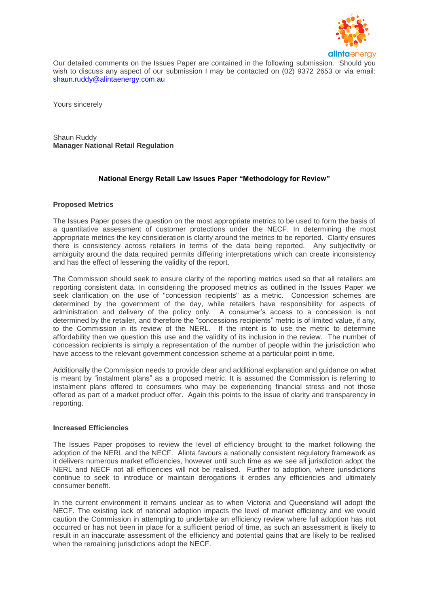

Our detailed comments on the Issues Paper are contained in the following submission. Should you wish to discuss any aspect of our submission I may be contacted on (02) 9372 2653 or via email: [shaun.ruddy@alintaenergy.com.au](mailto:shaun.ruddy@alintaenergy.com.au)

Yours sincerely

Shaun Ruddy **Manager National Retail Regulation**

# **National Energy Retail Law Issues Paper "Methodology for Review"**

### **Proposed Metrics**

The Issues Paper poses the question on the most appropriate metrics to be used to form the basis of a quantitative assessment of customer protections under the NECF. In determining the most appropriate metrics the key consideration is clarity around the metrics to be reported. Clarity ensures there is consistency across retailers in terms of the data being reported. Any subjectivity or ambiguity around the data required permits differing interpretations which can create inconsistency and has the effect of lessening the validity of the report.

The Commission should seek to ensure clarity of the reporting metrics used so that all retailers are reporting consistent data. In considering the proposed metrics as outlined in the Issues Paper we seek clarification on the use of "concession recipients" as a metric. Concession schemes are determined by the government of the day, while retailers have responsibility for aspects of administration and delivery of the policy only. A consumer's access to a concession is not determined by the retailer, and therefore the "concessions recipients" metric is of limited value, if any, to the Commission in its review of the NERL. If the intent is to use the metric to determine affordability then we question this use and the validity of its inclusion in the review. The number of concession recipients is simply a representation of the number of people within the jurisdiction who have access to the relevant government concession scheme at a particular point in time.

Additionally the Commission needs to provide clear and additional explanation and guidance on what is meant by "instalment plans" as a proposed metric. It is assumed the Commission is referring to instalment plans offered to consumers who may be experiencing financial stress and not those offered as part of a market product offer. Again this points to the issue of clarity and transparency in reporting.

#### **Increased Efficiencies**

The Issues Paper proposes to review the level of efficiency brought to the market following the adoption of the NERL and the NECF. Alinta favours a nationally consistent regulatory framework as it delivers numerous market efficiencies, however until such time as we see all jurisdiction adopt the NERL and NECF not all efficiencies will not be realised. Further to adoption, where jurisdictions continue to seek to introduce or maintain derogations it erodes any efficiencies and ultimately consumer benefit.

In the current environment it remains unclear as to when Victoria and Queensland will adopt the NECF. The existing lack of national adoption impacts the level of market efficiency and we would caution the Commission in attempting to undertake an efficiency review where full adoption has not occurred or has not been in place for a sufficient period of time, as such an assessment is likely to result in an inaccurate assessment of the efficiency and potential gains that are likely to be realised when the remaining jurisdictions adopt the NECF.